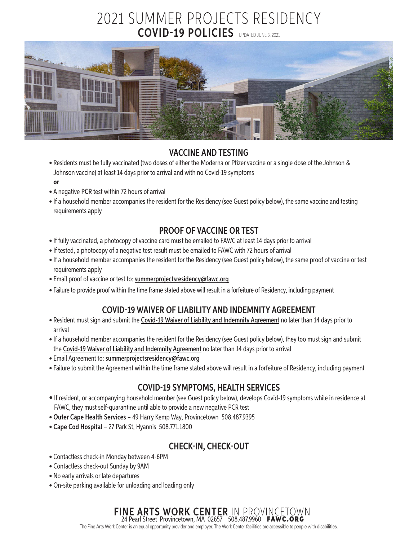# 2021 SUMMER PROJECTS RESIDENCY COVID-19 POLICIES UPDATED JUNE 3, 2021



#### VACCINE AND TESTING

- Residents must be fully vaccinated (two doses of either the Moderna or Pfizer vaccine or a single dose of the Johnson & Johnson vaccine) at least 14 days prior to arrival and with no Covid-19 symptoms **or**
- A negative PCR test within 72 hours of arrival
- If a household member accompanies the resident for the Residency (see Guest policy below), the same vaccine and testing requirements apply

#### PROOF OF VACCINE OR TEST

- If fully vaccinated, a photocopy of vaccine card must be emailed to FAWC at least 14 days prior to arrival
- If tested, a photocopy of a negative test result must be emailed to FAWC with 72 hours of arrival
- If a household member accompanies the resident for the Residency (see Guest policy below), the same proof of vaccine or test requirements apply
- Email proof of vaccine or test to: [summerprojectsresidency@fawc.org](mailto:summerprojectsresidency@fawc.org)
- Failure to provide proof within the time frame stated above will result in a forfeiture of Residency, including payment

# COVID-19 WAIVER OF LIABILITY AND INDEMNITY AGREEMENT

- Resident must sign and submit the [Covid-19 Waiver of Liability and Indemnity Agreement](https://fawc.org/pdf/sp_covid19_waiver.pdf) no later than 14 days prior to arrival
- If a household member accompanies the resident for the Residency (see Guest policy below), they too must sign and submit the [Covid-19 Waiver of Liability and Indemnity Agreement](https://fawc.org/pdf/sp_covid19_waiver.pdf) no later than 14 days prior to arrival
- Email Agreement to: [summerprojectsresidency@fawc.org](mailto:summerprojectsresidency@fawc.org)
- Failure to submit the Agreement within the time frame stated above will result in a forfeiture of Residency, including payment

# COVID-19 SYMPTOMS, HEALTH SERVICES

- If resident, or accompanying household member (see Guest policy below), develops Covid-19 symptoms while in residence at FAWC, they must self-quarantine until able to provide a new negative PCR test
- Outer Cape Health Services 49 Harry Kemp Way, Provincetown 508.487.9395
- Cape Cod Hospital 27 Park St, Hyannis 508.771.1800

# CHECK-IN, CHECK-OUT

- Contactless check-in Monday between 4-6PM
- Contactless check-out Sunday by 9AM
- No early arrivals or late departures
- On-site parking available for unloading and loading only